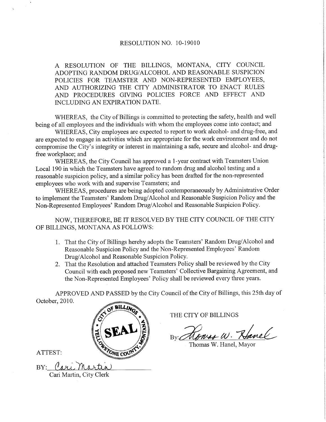#### RESOLUTION NO. 10-19010

A RESOLUTION OF THE BILLINGS. MONTANA, CITY COUNCIL ADOPTING RANDOM DRUG/ALCOHOL AND REASONABLE SUSPICION POLICIES FOR TEAMSTER AND NON-REPRESENTED EMPLOYEES, AND AUTHORIZING THE CITY ADMINISTRATOR TO ENACT RULES AND PROCEDURES GIVING POLICIES FORCE AND EFFECT AND INCLUDING AN EXPIRATION DATE.

WHEREAS, the City of Billings is committed to protecting the safety, health and well being of all employees and the individuals with whom the employees come into contact; and

WHEREAS, City employees are expected to report to work alcohol- and drug-free, and are expected to engage in activities which are appropriate for the work environment and do not compromise the City's integrity or interest in maintaining a safe, secure and alcohol- and drugfree workplace; and

WHEREAS, the City Council has approved a l-year contract with Teamsters Union Local 190 in which the Teamsters have agreed to random drug and alcohol testing and a reasonable suspicion policy, and a similar policy has been drafted for the non-represented employees who work with and supervise Teamsters; and

WHEREAS, procedures are being adopted contemporaneously by Administrative Order to implement the Teamsters' Random Drug/Alcohol and Reasonable Suspicion Policy and the Non-Represented Employees' Random Drug/Alcohol and Reasonable Suspicion Policy.

NOW, THEREFORE, BE IT RESOLVED BY THE CITY COUNCIL OF THE CITY OF BILLINGS, MONTANA AS FOLLOWS:

- 1. That the City of Billings hereby adopts the Teamsters' Random Drug/Alcohol and Reasonable Suspicion Policy and the Non-Represented Employees' Random Drug/Alcohol and Reasonable Suspicion Policy.
- 2. That the Resolution and attached Teamsters Policy shall be reviewed by the City Council with each proposed new Teamsters' Collective Bargaining Agreement, and the Non-Represented Employees' Policy shall be reviewed every three years.

APPROVED AND PASSED by the City Council of the City of Billings, this 25th day of October,2010.



THE CITY OF BILLINGS

By: Howas W. Havel

Thomas W. Hanel, Mayor

ATTEST:

BY: Care Cari Martin, City Clerk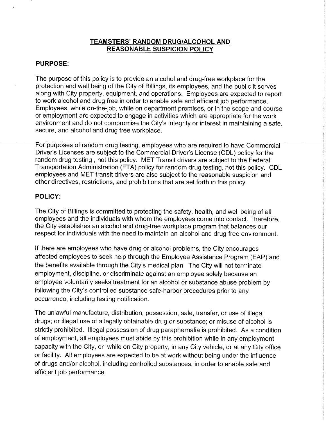#### TEAMSTERS' RANDOM DRUG/ALCOHOL AND REASONABLE SUSPICION POLICY

### PURPOSE:

The purpose of this policy is to provide an alcohol and drug-free workplace for the protection and well being of the City of Billings, its employees, and the public it serves along with City property, equipment, and operations. Employees are expected to report to work alcohol and drug free in order to enable safe and efficient job performance. Employees, while on-the-job, while on department premises, or in the scope and course of employment are expected to engage in activities which are appropriate for the work environment and do not compromise the City's integrity or interest in maintaining a safe, secure, and alcohol and drug free workplace.

For purposes of random drug testing, employees who are required to have Commercial Driver's Licenses are subject to the Commercial Driver's License (CDL) policy for the random drug testing , not this policy. MET Transit drivers are subject to the Federal Transportation Administration (FTA) policy for random drug testing, not this policy. CDL employees and MET transit drivers are also subject to the reasonable suspicion and other directives, restrictions, and prohibitions that are set forth in this policy.

## POLIGY:

The City of Billings is committed to protecting the safety, health, and well being of all employees and the individuals with whom the employees come into contact. Therefore, the City establishes an alcohol and drug-free workplace program that balances our respect for individuals with the need to maintain an alcohol and drug-free environment.

lf there are employees who have drug or alcohol problems, the City encourages affected employees to seek help through the Employee Assistance Program (EAP) and the benefits available through the City's medical plan. The City will not terminate employment, discipline, or discriminate against an employee solely because an employee voluntarily seeks treatment for an alcohol or substance abuse problem by following the City's controlled substance safe-harbor procedures prior to any occurrence, including testing notification.

The unlawful manufacture, distribution, possession, sale, transfer, or use of illegal drugs; or illegal use of a legally obtainable drug or substance; or misuse of alcohol is strictly prohibited. lllegal possession of drug paraphernalia is prohibited. As a condition of employment, all employees must abide by this prohibition while in any employment capacity with the City, or while on City property, in any City vehicle, or at any City office or facility. All employees are expected to be at work without being under the influence of drugs and/or alcohol, including controlled substances, in order to enable safe and efficient job performance.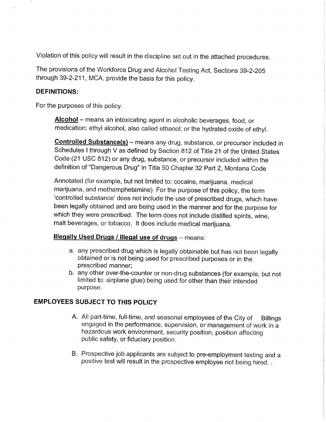Violation of this policy will result in the discipline set out in the attached procedures.

The provisions of the Workforce Drug and Alcohol Testing Act, Sections 3g-2-205 through 39-2-211, MCA, provide the basis for this policy.

### DEFINITIONS:

For the purposes of this policy.

Alcohol – means an intoxicating agent in alcoholic beverages, food, or medication; ethyl alcohol, also called ethanol; or the hydrated oxide of ethyl.

Controlled Substance(s) - means any drug, substance, or precursor included in Schedules I through V as defined by Section 812 of Title 21 of the United States Code (21 USC 812) or any drug, substance, or precursor included within the definition of "Dangerous Drug" in Title 50 Chapter 32 Part 2, Montana Code

Annotated (for example, but not limited to: cocaine, marijuana, medical marijuana, and methamphetamine) For the purpose of this policy, the term 'controlled substance' does not include the use of prescribed drugs, which have been legally obtained and are being used in the manner and for the purpose for which they were prescribed. The term does not include distilled spirits, wine, malt beverages, or tobacco. lt does include medical marijuana.

# Illegally Used Drugs / Illegal use of drugs - means:

- a. any prescribed drug which is legally obtainable but has not been legally obtained or is not being used for prescribed purposes or in the prescribed manner;
- b. any other over-the-counter or non-drug substances (for example, but not limited to: airplane glue) being used for other than their intended purpose.

# EMPLOYEES SUBJECT TO THIS POLICY

- A. All part-time, full-time, and seasonal employees of the City of Billings engaged in the performance, supervision, or management of work in a hazardous work environment, security position, position affecting public safety, or fiduciary position.
- B. Prospective job applicants are subject to pre-employment testing and a positive test will result in the prospective employee not being hired. .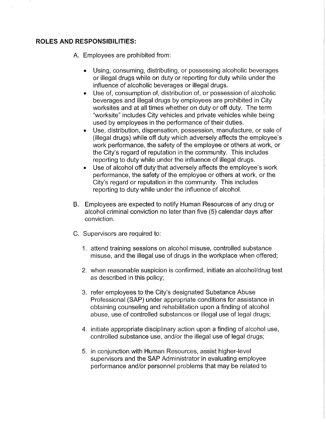#### ROLES AND RESPONSIBILITIES:

A. Employees are prohibited from:

- . Using, consuming, distributing, or possessing alcoholic beverages or illegal drugs while on duty or reporting for duty while under the influence of alcoholic beverages or illegal drugs.
- . Use of, consumption of, distribution of, or possession of alcoholic beverages and illegal drugs by employees are prohibited in City worksites and at all times whether on duty or off duty. The term "worksite" includes City vehicles and private vehicles while being used by employees in the performance of their duties.
- . Use, distribution, dispensation, possession, manufacture, or sale of (illegal drugs) while off duty which adversely affects the employee's work performance, the safety of the employee or others at work, or the City's regard of reputation in the community. This includes reporting to duty while under the influence of illegal drugs.
- . Use of alcohol off duty that adversely affects the employee's work peformance, the safety of the employee or others at work, or the City's regard or reputation in the community. This includes reporting to duty while under the influence of alcohol.
- B. Employees are expected to notify Human Resources of any drug or alcohol criminal conviction no later than five (5) calendar days after conviction.
- C. Supervisors are required to:
	- 1. attend training sessions on alcohol misuse, controlled substance misuse, and the illegal use of drugs in the workplace when offered;
	- 2. when reasonable suspicion is confirmed, initiate an alcohol/drug test as described in this policy;
	- 3. refer employees to the City's designated Substance Abuse Professional (SAP) under appropriate conditions for assistance in obtaining counseling and rehabilitation upon a finding of alcohol abuse, use of controlled substances or illegal use of legal drugs;
	- 4. initiate appropriate disciplinary action upon a finding of alcohol use, controlled substance use, and/or the illegal use of legal drugs;
	- 5. in conjunction with Human Resources, assist higher-level supervisors and the SAP Administrator in evaluating employee peformance and/or personnel problems that may be related to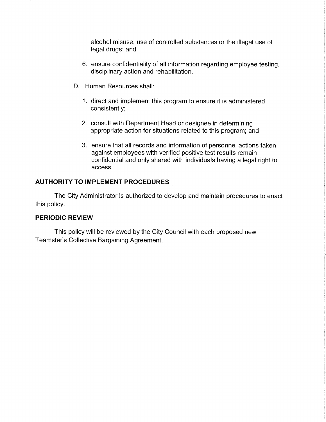alcohol misuse, use of controlled substances or the illegal use of legal drugs; and

- 6. ensure confidentiality of all information regarding employee testing, disciplinary action and rehabilitation.
- D. Human Resources shall:
	- 1. direct and implement this program to ensure it is administered consistently;
	- 2. consult with Department Head or designee in determining appropriate action for situations related to this program; and
	- 3. ensure that all records and information of personnel actions taken against employees with verified positive test results remain confidential and only shared with individuals having a legal right to access.

# AUTHORITY TO IMPLEMENT PROCEDURES

The City Administrator is authorized to develop and maintain procedures to enact this policy.

# PERIODIC REVIEW

This policy will be reviewed by the City Council with each proposed new Teamster's Collective Bargaining Agreement.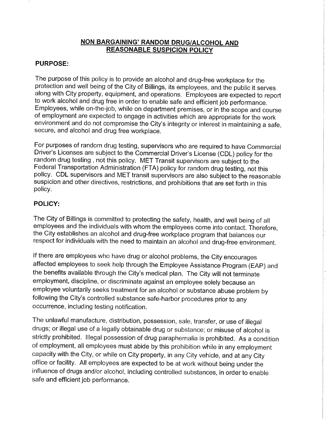### NON BARGAINING' RANDOM DRUG/ALCOHOL AND REASONABLE SUSPICION POLICY

### PURPOSE:

The purpose of this policy is to provide an alcohol and drug-free workplace for the protection and well being of the City of Billings, its employees, and the public it serves along with City property, equipment, and operations. Employees are expected to report to work alcohol and drug free in order to enable safe and efficient job performance. Employees, while on-the-job, while on department premises, or in the scope and course of employment are expected to engage in activities which are appropriate for the work environment and do not compromise the City's integrity or interest in maintaining a safe, secure, and alcohol and drug free workplace.

For purposes of random drug testing, supervisors who are required to have Commercial Driver's Licenses are subject to the Commercial Driver's License (CDL) policy for the random drug testing, not this policy. MET Transit supervisors are subject to the<br>Federal Transportation Administration (FTA) policy for random drug testing, not this policy. CDL supervisors and MET transit supervisors are also subject to the reasonable suspicion and other directives, restrictions, and prohibitions that are set forth in this policy.

## POLIGY:

The City of Billings is committed to protecting the safety, health, and well being of all employees and the individuals with whom the employees come into contact. Therefore, the City establishes an alcohol and drug-free workplace program that balances our respect for individuals with the need to maintain an alcohol and drug-free environment.

lf there are employees who have drug or alcohol problems, the City encourages affected employees to seek help through the Employee Assistance Program (EAp) and the benefits available through the City's medical plan. The City will not terminate employment, discipline, or discriminate against an employee solely because an employee voluntarily seeks treatment for an alcohol or substance abuse problem by following the City's controlled substance safe-harbor procedures prior to any occurrence, including testing notification.

The unlawful manufacture, distribution, possession, sale, transfer, or use of illegal drugs; or illegal use of a legally obtainable drug or substance; or misuse of alcohol is strictly prohibited. lllegal possession of drug paraphernalia is prohibited. As a condition of employment, all employees must abide by this prohibition while in any employment capacity with the City, or while on City property, in any City vehicle, and at any City office or facility. All employees are expected to be at work without being under the influence of drugs and/or alcohol, including controlled substances, in order to enable safe and efficient job performance.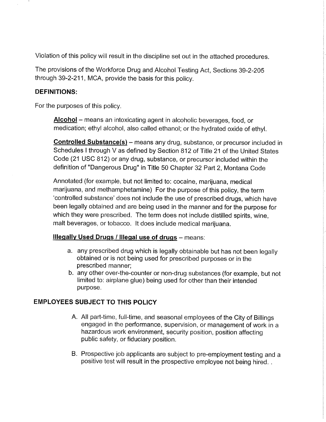Violation of this policy will result in the discipline set out in the attached procedures.

The provisions of the Workforce Drug and Alcohol Testing Act, Sections 39-2-205 through 39-2-211, MCA, provide the basis for this policy.

## DEFINITIONS:

For the purposes of this policy.

Alcohol - means an intoxicating agent in alcoholic beverages, food, or medication; ethyl alcohol, also called ethanol; or the hydrated oxide of ethyl.

Controlled Substance(s) - means any drug, substance, or precursor included in Schedules I through V as defined by Section 812 of Title 21 of the United States Code (21 USC 812) or any drug, substance, or precursor included within the definition of "Dangerous Drug" in Title 50 Chapter 32 Part 2, Montana Code

Annotated (for example, but not limited to: cocaine, marijuana, medical marijuana, and methamphetamine) For the purpose of this policy, the term 'controlled substance' does not include the use of prescribed drugs, which have been legally obtained and are being used in the manner and for the purpose for which they were prescribed. The term does not include distilled spirits, wine, malt beverages, or tobacco. lt does include medical marijuana.

# Illegally Used Drugs / Illegal use of drugs - means:

- a. any prescribed drug which is legally obtainable but has not been legally obtained or is not being used for prescribed purposes or in the prescribed manner;
- b. any other over-the-counter or non-drug substances (for example, but not limited to: airplane glue) being used for other than their intended purpose.

# EMPLOYEES SUBJECT TO THIS POLICY

- A. All part-time, full-time, and seasonal employees of the city of Billings engaged in the performance, supervision, or management of work in <sup>a</sup> hazardous work environment, security position, position affecting public safety, or fiduciary position.
- B. Prospective job applicants are subject to pre-employment testing and <sup>a</sup> positive test will result in the prospective employee not being hired. .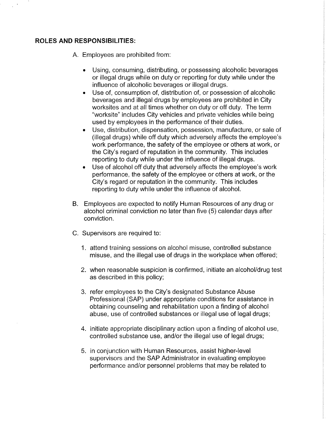#### ROLES AND RESPONSIBILITIES:

A. Employees are prohibited from:

- Using, consuming, distributing, or possessing alcoholic beverages or illegal drugs while on duty or reporting for duty while under the influence of alcoholic beverages or illegal drugs.
- Use of, consumption of, distribution of, or possession of alcoholic beverages and illegal drugs by employees are prohibited in City worksites and at all times whether on duty or off duty. The term "worksite" includes City vehicles and private vehicles while being used by employees in the performance of their duties.
- Use, distribution, dispensation, possession, manufacture, or sale of (illegal drugs) while off duty which adversely affects the employee's work performance, the safety of the employee or others at work, or the City's regard of reputation in the community. This includes reporting to duty while under the influence of illegal drugs.
- Use of alcohol off duty that adversely affects the employee's work performance, the safety of the employee or others at work, or the City's regard or reputation in the community. This includes reporting to duty while under the influence of alcohol.
- Employees are expected to notify Human Resources of any drug or B.alcohol criminal conviction no later than five (5) calendar days after conviction.
- C. Supervisors are required to:
	- 1. attend training sessions on alcohol misuse, controlled substance misuse, and the illegal use of drugs in the workplace when offered;
	- 2. when reasonable suspicion is confirmed, initiate an alcohol/drug test as described in this policy;
	- 3. refer employees to the City's designated Substance Abuse Professional (SAP) under appropriate conditions for assistance in obtaining counseling and rehabilitation upon a finding of alcohol abuse, use of controlled substances or illegal use of legal drugs;
	- 4. initiate appropriate disciplinary action upon a finding of alcohol use, controlled substance use, and/or the illegal use of legal drugs;
	- 5. in conjunction with Human Resources, assist higher-level supervisors and the SAP Administrator in evaluating employee performance and/or personnel problems that may be related to